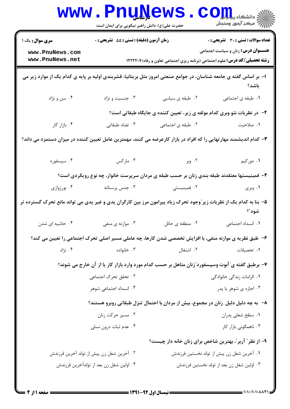|                                                                                                                             | www.PnuNews                                                                                 |                   | ي<br>ي دانشگاه پ <b>يام نو</b><br>أأأأأ مركز آزمون وسنجش                                                                               |  |  |  |
|-----------------------------------------------------------------------------------------------------------------------------|---------------------------------------------------------------------------------------------|-------------------|----------------------------------------------------------------------------------------------------------------------------------------|--|--|--|
| <b>سری سوال :</b> یک ۱                                                                                                      | حضرت علی(ع): دانش راهبر نیکویی برای ایمان است<br>زمان آزمون (دقیقه) : تستی : 55 آتشریحی : 0 |                   | <b>تعداد سوالات : تستی : 30 ٪ تشریحی : 0</b>                                                                                           |  |  |  |
| www.PnuNews.com<br>www.PnuNews.net                                                                                          |                                                                                             |                   | <b>عنـــوان درس:</b> زنان و سیاست اجتماعی<br><b>رشته تحصیلی/کد درس:</b> علوم اجتماعی (برنامه ریزی اجتماعی تعاون و رفاه) <b>۱۲۲۲۲۰۷</b> |  |  |  |
| ا– بر اساس گفته ی جامعه شناسان، در جوامع صنعتی امروز مثل بریتانیا، قشربندی اولیه بر پایه ی کدام یک از موارد زیر می          |                                                                                             |                   | باشد؟                                                                                                                                  |  |  |  |
| ۰۴ سن و نژاد                                                                                                                | ۰۳ جنسیت و نژاد                                                                             | ۰۲ طبقه ی سیاسی   | ٠١. طبقه ى اجتماعى                                                                                                                     |  |  |  |
|                                                                                                                             | ۲- در نظریات نئو وبری کدام مولفه ی زیر، تعیین کننده ی جایگاه طبقاتی است؟                    |                   |                                                                                                                                        |  |  |  |
| ۰۴ بازار کار                                                                                                                | ۰۳ تضاد طبقاتی                                                                              | ۰۲ طبقه ی اجتماعی | ۰۱ صلاحیت                                                                                                                              |  |  |  |
| ۳– کدام اندیشمند مهارتهایی را که افراد در بازار کارعرضه می کنند، مهمترین عامل تعیین کننده در میزان دستمزد می داند؟          |                                                                                             |                   |                                                                                                                                        |  |  |  |
| ۰۴ سپسفورد                                                                                                                  | ۰۳ مارکس                                                                                    | ۰۲ وبر            | ۰۱ دورکیم                                                                                                                              |  |  |  |
| ۴- فمینیستها معتقدند طبقه بندی زنان بر حسب طبقه ی مردان سرپرست خانوار، چه نوع رویکردی است؟                                  |                                                                                             |                   |                                                                                                                                        |  |  |  |
| ۰۴ بورژوازی                                                                                                                 | ۰۳ جنس پرستانه                                                                              | ۰۲ فمینیستی       | ۰۱ وبری                                                                                                                                |  |  |  |
| ۵– بنا به کدام یک از نظریات زیر ّوجود تحرک زیاد پیرامون مرز بین کارگران یدی و غیر یدی می تواند مانع تحرک گسترده تر<br>شود"؟ |                                                                                             |                   |                                                                                                                                        |  |  |  |
| ۰۴ حاشیه ای شدن                                                                                                             | ۰۳ موازنه ی منفی                                                                            | ۰۲ منطقه ی حائل   | ۰۱ انسداد اجتما <i>ع</i> ی                                                                                                             |  |  |  |
| ۶- طبق نظریه ی موازنه منفی، با افزایش تخصصی شدن کارها، چه عاملی مسیر اصلی تحرک اجتماعی را تعیین می کند؟                     |                                                                                             |                   |                                                                                                                                        |  |  |  |
| ۰۴ نژاد                                                                                                                     | ۰۳ خانواده                                                                                  | ٠٢ اشتغال         | ۰۱ تحصیلات                                                                                                                             |  |  |  |
|                                                                                                                             |                                                                                             |                   | ۷- برطبق گفته ی ّ آبوت وسپسفورد ّزنان متاهل بر حسب کدام مورد وارد بازار کار یا از آن خارج می شوند؟                                     |  |  |  |
|                                                                                                                             | ۰۲ تحقق تحرک اجتماعی                                                                        |                   | ۰۱ الزامات زندگی خانوادگی                                                                                                              |  |  |  |
|                                                                                                                             | ۰۴ انسداد اجتماعی شوهر                                                                      |                   | ۰۳ اجازه ی شوهر یا پدر                                                                                                                 |  |  |  |
|                                                                                                                             |                                                                                             |                   | ۸− به چه دلیل دلیل زنان در مجموع، بیش از مردان با احتمال تنزل طبقاتی روبرو هستند؟                                                      |  |  |  |
|                                                                                                                             | ۰۲ مسیر حرکت زنان                                                                           |                   | ۰۱ سطح شغلی پدران                                                                                                                      |  |  |  |
|                                                                                                                             | ۰۴ عدم ثبات درون نسلي                                                                       |                   | ۰۳ ناهمگونی بازار کار                                                                                                                  |  |  |  |
|                                                                                                                             |                                                                                             |                   | ۹- از نظر ؒ آربر ؒ، بهترین شاخص برای زنان خانه دار چیست؟                                                                               |  |  |  |
|                                                                                                                             | ۰۲ آخرین شغل زن پیش از تولد آخرین فرزندش                                                    |                   | ۰۱ آخرین شغل زن پیش از تولد نخستین فرزندش                                                                                              |  |  |  |
|                                                                                                                             | ۰۴ اولین شغل زن بعد از تولدآخرین فرزندش                                                     |                   | ۰۳ اولین شغل زن بعد از تولد نخستین فرزندش                                                                                              |  |  |  |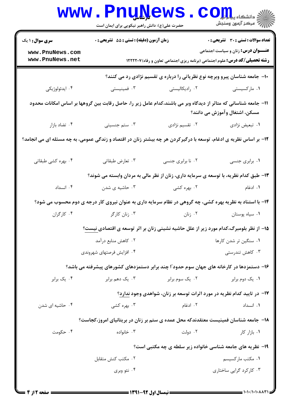|                                                                                                                                                  | <b>WWW.PNUN</b><br>حضرت علی(ع): دانش راهبر نیکویی برای ایمان است                                          | <b>GMP</b>                                                                        | $CO_{\frac{1}{2}}$ دانشڪاه پيا جا<br>رُ⁄ مرڪز آزمون وسنڊش |  |  |  |
|--------------------------------------------------------------------------------------------------------------------------------------------------|-----------------------------------------------------------------------------------------------------------|-----------------------------------------------------------------------------------|-----------------------------------------------------------|--|--|--|
| <b>سری سوال : ۱ یک</b>                                                                                                                           | زمان آزمون (دقیقه) : تستی : 55 آتشریحی : 0                                                                |                                                                                   | <b>تعداد سوالات : تستی : 30 ٪ تشریحی : 0</b>              |  |  |  |
| www.PnuNews.com<br>www.PnuNews.net                                                                                                               |                                                                                                           | <b>رشته تحصیلی/کد درس:</b> علوم اجتماعی (برنامه ریزی اجتماعی تعاون و رفاه)1۲۲۲۲۰۷ | <b>عنـــوان درس:</b> زنان و سیاست اجتماعی                 |  |  |  |
| +ا– جامعه شناسان پیرو وبرچه نوع نظریاتی را درباره ی تقسیم نژادی رد می کنند؟                                                                      |                                                                                                           |                                                                                   |                                                           |  |  |  |
| ۰۴ ايدئولوژيکي                                                                                                                                   | ۰۳ فمینیستی                                                                                               | ۰۲ رادیکالیستی                                                                    | ۰۱ مارکسیستی                                              |  |  |  |
| 11– جامعه شناسانی که متاثر از دیدگاه وبر می باشند،کدام عامل زیر را، حاصل رقابت بین گروهها بر اساس امکانات محدود<br>مسکن، اشتغال وآموزش می دانند؟ |                                                                                                           |                                                                                   |                                                           |  |  |  |
| ۰۴ تضاد بازار                                                                                                                                    | ۰۳ ستم جنسیتی                                                                                             | ۰۲ تقسیم نژادی                                                                    | ٠١ تبعيض نژادي                                            |  |  |  |
| ۱۲- بر اساس نظریه ی ادغام، توسعه با درگیرکردن هر چه بیشتر زنان در اقتصاد و زندگی عمومی، به چه مسئله ای می انجامد؟                                |                                                                                                           |                                                                                   |                                                           |  |  |  |
| ۰۴ بهره کشی طبقاتی                                                                                                                               | ۰۳ تعارض طبقاتي                                                                                           | ۰۲ نا برابری جنسی                                                                 | ۰۱ برابری جنسی                                            |  |  |  |
|                                                                                                                                                  | ۱۳– طبق کدام نظریه، با توسعه ی سرمایه داری، زنان از نظر مالی به مردان وابسته می شوند؟                     |                                                                                   |                                                           |  |  |  |
| ۰۴ انسداد                                                                                                                                        | ۰۳ حاشیه ی شدن                                                                                            | ۰۲ بهره کشی                                                                       | ۰۱ ادغام                                                  |  |  |  |
|                                                                                                                                                  | ۱۴- با استناد به نظریه بهره کشی، چه گروهی در نظام سرمایه داری به عنوان نیروی کار درجه ی دوم محسوب می شود؟ |                                                                                   |                                                           |  |  |  |
| ۰۴ کارگران                                                                                                                                       | ۰۳ زنان کارگر                                                                                             | ۰۲ زنان                                                                           | ٠١ سياه پوستان                                            |  |  |  |
|                                                                                                                                                  | ۱۵– از نظر بلومبرگ،کدام مورد زیر از علل حاشیه نشینی زنان بر اثر توسعه ی اقتصادی نیست؟                     |                                                                                   |                                                           |  |  |  |
|                                                                                                                                                  | ۰۲ کاهش منابع درآمد                                                                                       | ۰۱ سنگین تر شدن کارها                                                             |                                                           |  |  |  |
|                                                                                                                                                  | ۰۴ افزایش فرصتهای شهروندی                                                                                 |                                                                                   | ۰۳ کاهش تندرستی                                           |  |  |  |
|                                                                                                                                                  | ۱۶– دستمزدها در کارخانه های جهان سوم حدود ّا چند برابر دستمزدهای کشورهای پیشرفته می باشد؟                 |                                                                                   |                                                           |  |  |  |
| ۰۴ یک برابر                                                                                                                                      | ۰۳ یک دهم برابر                                                                                           | ۰۲ یک سوم برابر                                                                   | ۰۱ یک دوم برابر                                           |  |  |  |
|                                                                                                                                                  |                                                                                                           | ۱۷- در تایید کدام نظریه در مورد اثرات توسعه بر زنان، شواهدی وجود ندارد؟           |                                                           |  |  |  |
| ۰۴ حاشیه ای شدن                                                                                                                                  | ۰۳ بهره کشی                                                                                               | ۰۲ ادغام                                                                          | ٠١. انسداد                                                |  |  |  |
|                                                                                                                                                  | ۱۸– جامعه شناسان فمینیست معتقدندکه محل عمده ی ستم بر زنان در بریتانیای امروز،کجاست؟                       |                                                                                   |                                                           |  |  |  |
| ۰۴ حکومت                                                                                                                                         | ۰۳ خانواده                                                                                                | ۰۲ دولت                                                                           | ۰۱. بازار کار                                             |  |  |  |
| ۱۹- نظریه های جامعه شناسی خانواده زیر سلطه ی چه مکتبی است؟                                                                                       |                                                                                                           |                                                                                   |                                                           |  |  |  |
|                                                                                                                                                  | ۰۲ مکتب کنش متقابل                                                                                        |                                                                                   | ۰۱ مکتب مارکسیسم                                          |  |  |  |
|                                                                                                                                                  | ۰۴ نئو وبری                                                                                               |                                                                                   | ۰۳ کارکرد گرایی ساختاری                                   |  |  |  |
|                                                                                                                                                  |                                                                                                           |                                                                                   |                                                           |  |  |  |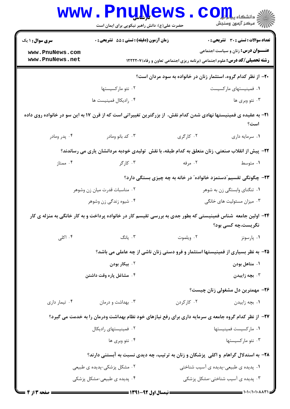|                                                                                                  | <b>www.PnuNews</b><br>حضرت علی(ع): دانش راهبر نیکویی برای ایمان است                                                      |             | الاد دانشگاه پیاهایا<br>اگر مرکز آزمون وسنجش                                                                                  |  |  |
|--------------------------------------------------------------------------------------------------|--------------------------------------------------------------------------------------------------------------------------|-------------|-------------------------------------------------------------------------------------------------------------------------------|--|--|
| <b>سری سوال : ۱ یک</b>                                                                           | زمان آزمون (دقیقه) : تستی : 55 آتشریحی : 0                                                                               |             | <b>تعداد سوالات : تستی : 30 ٪ تشریحی : 0</b>                                                                                  |  |  |
| www.PnuNews.com<br>www.PnuNews.net                                                               |                                                                                                                          |             | <b>عنـــوان درس:</b> زنان و سیاست اجتماعی<br><b>رشته تحصیلی/کد درس:</b> علوم اجتماعی (برنامه ریزی اجتماعی تعاون و رفاه)1۲۲۲۰۷ |  |  |
|                                                                                                  | ۲۰- از نظر کدام گروه، استثمار زنان در خانواده به سود مردان است؟                                                          |             |                                                                                                                               |  |  |
|                                                                                                  | ۰۲ نئو مارکسیستها                                                                                                        |             | ۰۱ فمینیستهای مارکسیست                                                                                                        |  |  |
|                                                                                                  | ۰۴ راديكال فمينيست ها                                                                                                    |             | ۰۳ نئو وبری ها                                                                                                                |  |  |
|                                                                                                  | <b>۳۱</b> - به عقیده ی فمینیستها نهادی شدن کدام نقش، از بزرگترین تغییراتی است که از قرن ۱۷ به این سو در خانواده روی داده |             | است؟                                                                                                                          |  |  |
| ۰۴ پدر ومادر                                                                                     | ۰۳ کد بانو ومادر                                                                                                         | ۰۲ کارگری   | ٠١ سرمايه داري                                                                                                                |  |  |
| ۲۲- پیش از انقلاب صنعتی، زنان متعلق به کدام طبقه، با نقش  تولیدی خودبه مردانشان یاری می رساندند؟ |                                                                                                                          |             |                                                                                                                               |  |  |
| ۰۴ ممتاز                                                                                         | ۰۳ کارگر                                                                                                                 | ۰۲ مرفه     | ۰۱ متوسط                                                                                                                      |  |  |
|                                                                                                  |                                                                                                                          |             | ۲۳– چگونگی تقسیم ٌدستمزد خانواده ؒ در خانه به چه چیزی بستگی دارد؟                                                             |  |  |
|                                                                                                  | ۰۲ مناسبات قدرت میان زن وشوهر                                                                                            |             | ۰۱ تنگنای وابستگی زن به شوهر                                                                                                  |  |  |
|                                                                                                  | ۰۴ شیوه زندگی زن وشوهر                                                                                                   |             | ۰۳ میزان مسئولیت های خانگی                                                                                                    |  |  |
|                                                                                                  | ۲۴– اولین جامعه  شناس فمینیستی که بطور جدی به بررسی تقیسم کار در خانواده پرداخت و به کار خانگی به منزله ی کار            |             | نگریست،چه کسی بود؟                                                                                                            |  |  |
| ۰۴ اکلی                                                                                          | ۰۳ یانگ                                                                                                                  | ۰۲ ویلموت   | ۰۱ پارسونز                                                                                                                    |  |  |
|                                                                                                  | ۲۵- به نظر بسیاری از فمینیستها استثمار و فرو دستی زنان ناشی از چه عاملی می باشد؟                                         |             |                                                                                                                               |  |  |
|                                                                                                  | ۰۲ بیکار بودن                                                                                                            |             | ۰۱ متاهل بودن                                                                                                                 |  |  |
|                                                                                                  | ۰۴ مشاغل پاره وقت داشتن                                                                                                  |             | ۰۳ بچه زاییدن                                                                                                                 |  |  |
|                                                                                                  |                                                                                                                          |             | ۲۶- مهمترین دل مشغولی زنان چیست؟                                                                                              |  |  |
| ۰۴ تیمار داری                                                                                    | ۰۳ بهداشت و درمان                                                                                                        | ۰۲ کار کردن | ۰۱ بچه زاییدن                                                                                                                 |  |  |
|                                                                                                  | ۲۷- از نظر کدام گروه جامعه ی سرمایه داری برای رفع نیازهای خود نظام بهداشت ودرمان را به خدمت می گیرد؟                     |             |                                                                                                                               |  |  |
|                                                                                                  | ۰۲ فمینیستهای رادیکال                                                                                                    |             | ۰۱ ماركسيست فمينيستها                                                                                                         |  |  |
|                                                                                                  | ۰۴ نئو وبري ها                                                                                                           |             | ۰۳ نئو مارکسیستها                                                                                                             |  |  |
| ۲۸- به استدلال گراهام و اکلی پزشکان و زنان به ترتیب، چه دیدی نسبت به آبستنی دارند؟               |                                                                                                                          |             |                                                                                                                               |  |  |
|                                                                                                  | ۰۲ مشکل پزشکی-پدیده ی طبیعی                                                                                              |             | ۰۱ پدیده ی طبیعی-پدیده ی آسیب شناختی                                                                                          |  |  |
|                                                                                                  | ۰۴ پدیده ی طبیعی-مشکل پزشکی                                                                                              |             | ۰۳ پدیده ی آسیب شناختی-مشکل پزشکی                                                                                             |  |  |